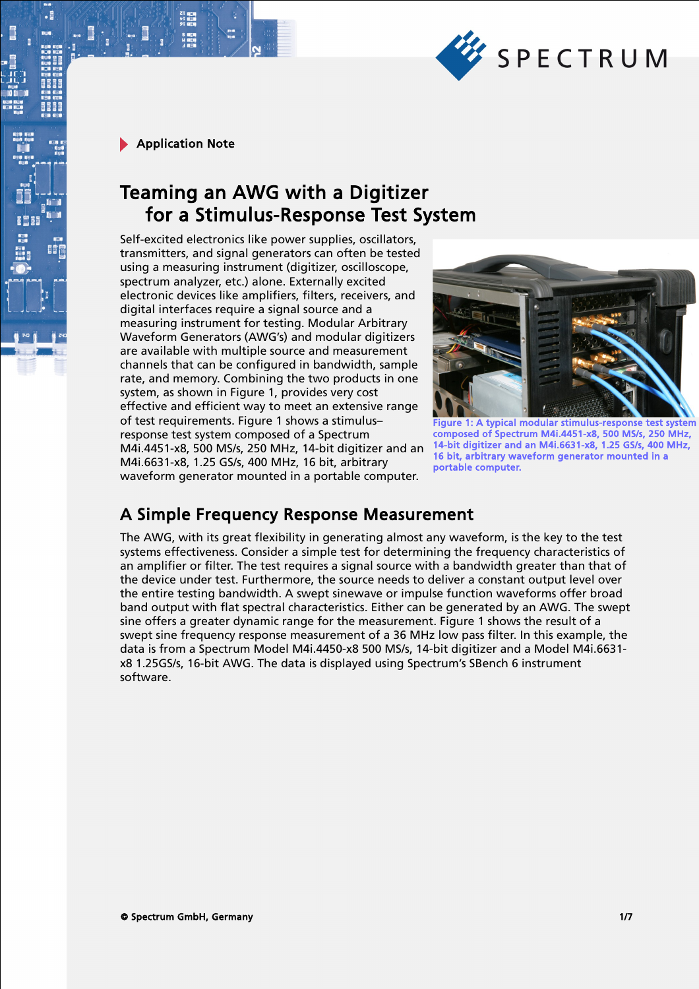

# Teaming an AWG with a Digitizer for a Stimulus-Response Test System

Self-excited electronics like power supplies, oscillators, transmitters, and signal generators can often be tested using a measuring instrument (digitizer, oscilloscope, spectrum analyzer, etc.) alone. Externally excited electronic devices like amplifiers, filters, receivers, and digital interfaces require a signal source and a measuring instrument for testing. Modular Arbitrary Waveform Generators (AWG's) and modular digitizers are available with multiple source and measurement channels that can be configured in bandwidth, sample rate, and memory. Combining the two products in one system, as shown in Figure 1, provides very cost effective and efficient way to meet an extensive range of test requirements. Figure 1 shows a stimulus– response test system composed of a Spectrum M4i.4451-x8, 500 MS/s, 250 MHz, 14-bit digitizer and an M4i.6631-x8, 1.25 GS/s, 400 MHz, 16 bit, arbitrary waveform generator mounted in a portable computer.



Figure 1: A typical modular stimulus-response test system composed of Spectrum M4i.4451-x8, 500 MS/s, 250 MHz, 14-bit digitizer and an M4i.6631-x8, 1.25 GS/s, 400 MHz, 16 bit, arbitrary waveform generator mounted in a portable computer.

## A Simple Frequency Response Measurement

The AWG, with its great flexibility in generating almost any waveform, is the key to the test systems effectiveness. Consider a simple test for determining the frequency characteristics of an amplifier or filter. The test requires a signal source with a bandwidth greater than that of the device under test. Furthermore, the source needs to deliver a constant output level over the entire testing bandwidth. A swept sinewave or impulse function waveforms offer broad band output with flat spectral characteristics. Either can be generated by an AWG. The swept sine offers a greater dynamic range for the measurement. Figure 1 shows the result of a swept sine frequency response measurement of a 36 MHz low pass filter. In this example, the data is from a Spectrum Model M4i.4450-x8 500 MS/s, 14-bit digitizer and a Model M4i.6631 x8 1.25GS/s, 16-bit AWG. The data is displayed using Spectrum's SBench 6 instrument software.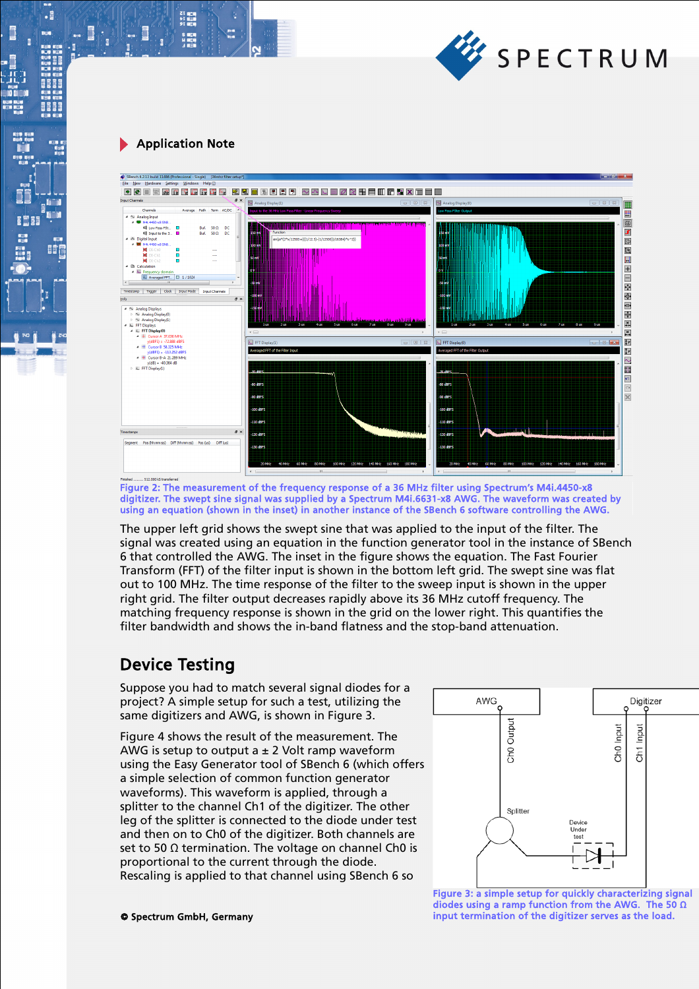

21 年11<br>11 年11<br>91 年11

 $\cdot$ 

**BEEF** 

晴



Figure 2: The measurement of the frequency response of a 36 MHz filter using Spectrum's M4i.4450-x8 digitizer. The swept sine signal was supplied by a Spectrum M4i.6631-x8 AWG. The waveform was created by using an equation (shown in the inset) in another instance of the SBench 6 software controlling the AWG.

The upper left grid shows the swept sine that was applied to the input of the filter. The signal was created using an equation in the function generator tool in the instance of SBench 6 that controlled the AWG. The inset in the figure shows the equation. The Fast Fourier Transform (FFT) of the filter input is shown in the bottom left grid. The swept sine was flat out to 100 MHz. The time response of the filter to the sweep input is shown in the upper right grid. The filter output decreases rapidly above its 36 MHz cutoff frequency. The matching frequency response is shown in the grid on the lower right. This quantifies the filter bandwidth and shows the in-band flatness and the stop-band attenuation.

## Device Testing

Suppose you had to match several signal diodes for a project? A simple setup for such a test, utilizing the same digitizers and AWG, is shown in Figure 3.

Figure 4 shows the result of the measurement. The AWG is setup to output a  $\pm$  2 Volt ramp waveform using the Easy Generator tool of SBench 6 (which offers a simple selection of common function generator waveforms). This waveform is applied, through a splitter to the channel Ch1 of the digitizer. The other leg of the splitter is connected to the diode under test and then on to Ch0 of the digitizer. Both channels are set to 50  $\Omega$  termination. The voltage on channel Ch0 is proportional to the current through the diode. Rescaling is applied to that channel using SBench 6 so



© Spectrum GmbH, Germany 2/7 input termination of the digitizer serves as the load.Figure 3: a simple setup for quickly characterizing signal diodes using a ramp function from the AWG. The 50 Ω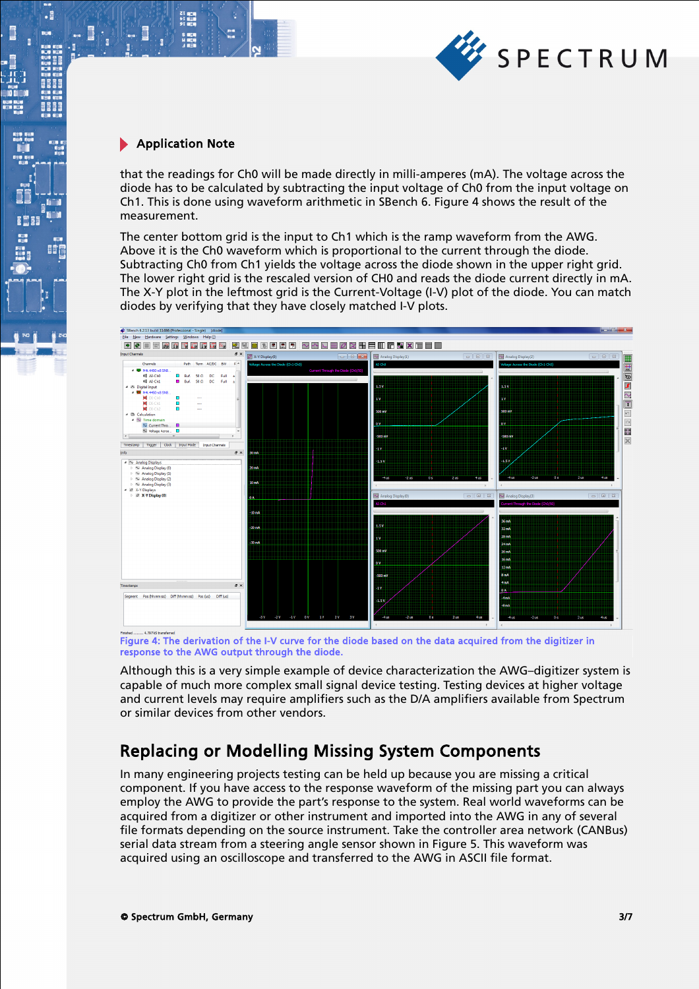

21 mg<br>41 mg<br>91 mg

 $\cdot$ 

8881

**II** 

that the readings for Ch0 will be made directly in milli-amperes (mA). The voltage across the diode has to be calculated by subtracting the input voltage of Ch0 from the input voltage on Ch1. This is done using waveform arithmetic in SBench 6. Figure 4 shows the result of the measurement.

The center bottom grid is the input to Ch1 which is the ramp waveform from the AWG. Above it is the Ch0 waveform which is proportional to the current through the diode. Subtracting Ch0 from Ch1 yields the voltage across the diode shown in the upper right grid. The lower right grid is the rescaled version of CH0 and reads the diode current directly in mA. The X-Y plot in the leftmost grid is the Current-Voltage (I-V) plot of the diode. You can match diodes by verifying that they have closely matched I-V plots.



Figure 4: The derivation of the I-V curve for the diode based on the data acquired from the digitizer in response to the AWG output through the diode.

Although this is a very simple example of device characterization the AWG–digitizer system is capable of much more complex small signal device testing. Testing devices at higher voltage and current levels may require amplifiers such as the D/A amplifiers available from Spectrum or similar devices from other vendors.

## Replacing or Modelling Missing System Components

In many engineering projects testing can be held up because you are missing a critical component. If you have access to the response waveform of the missing part you can always employ the AWG to provide the part's response to the system. Real world waveforms can be acquired from a digitizer or other instrument and imported into the AWG in any of several file formats depending on the source instrument. Take the controller area network (CANBus) serial data stream from a steering angle sensor shown in Figure 5. This waveform was acquired using an oscilloscope and transferred to the AWG in ASCII file format.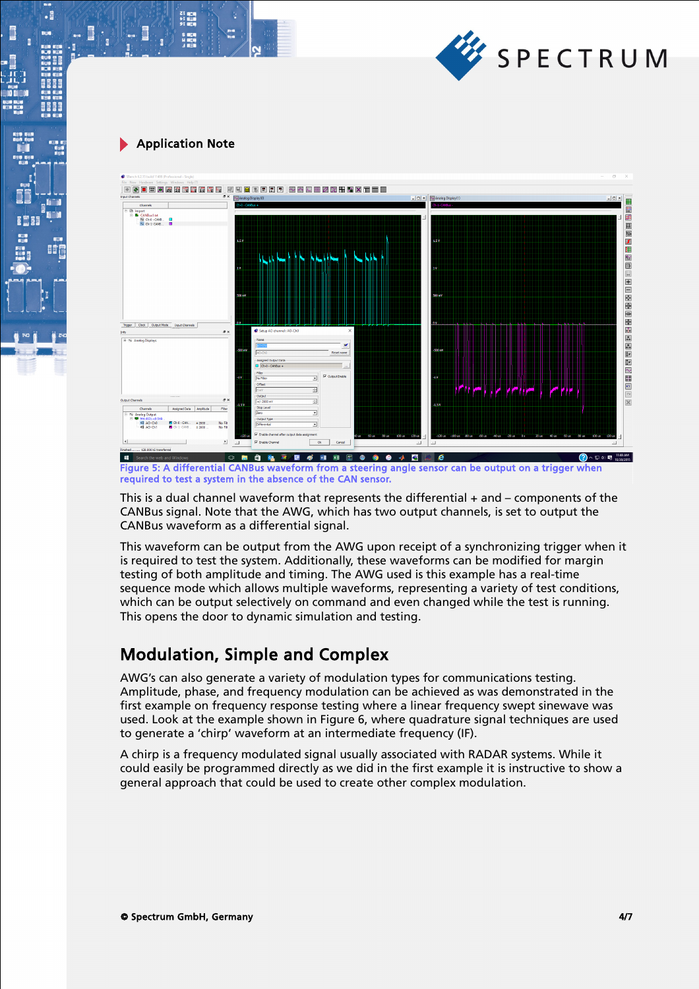

21 mgm<br>51 mgm<br>91 mgm

 $\cdot$ 



Figure 5: A differential CANBus waveform from a steering angle sensor can be output on a trigger when required to test a system in the absence of the CAN sensor.

This is a dual channel waveform that represents the differential  $+$  and  $-$  components of the CANBus signal. Note that the AWG, which has two output channels, is set to output the CANBus waveform as a differential signal.

This waveform can be output from the AWG upon receipt of a synchronizing trigger when it is required to test the system. Additionally, these waveforms can be modified for margin testing of both amplitude and timing. The AWG used is this example has a real-time sequence mode which allows multiple waveforms, representing a variety of test conditions, which can be output selectively on command and even changed while the test is running. This opens the door to dynamic simulation and testing.

## Modulation, Simple and Complex

AWG's can also generate a variety of modulation types for communications testing. Amplitude, phase, and frequency modulation can be achieved as was demonstrated in the first example on frequency response testing where a linear frequency swept sinewave was used. Look at the example shown in Figure 6, where quadrature signal techniques are used to generate a 'chirp' waveform at an intermediate frequency (IF).

A chirp is a frequency modulated signal usually associated with RADAR systems. While it could easily be programmed directly as we did in the first example it is instructive to show a general approach that could be used to create other complex modulation.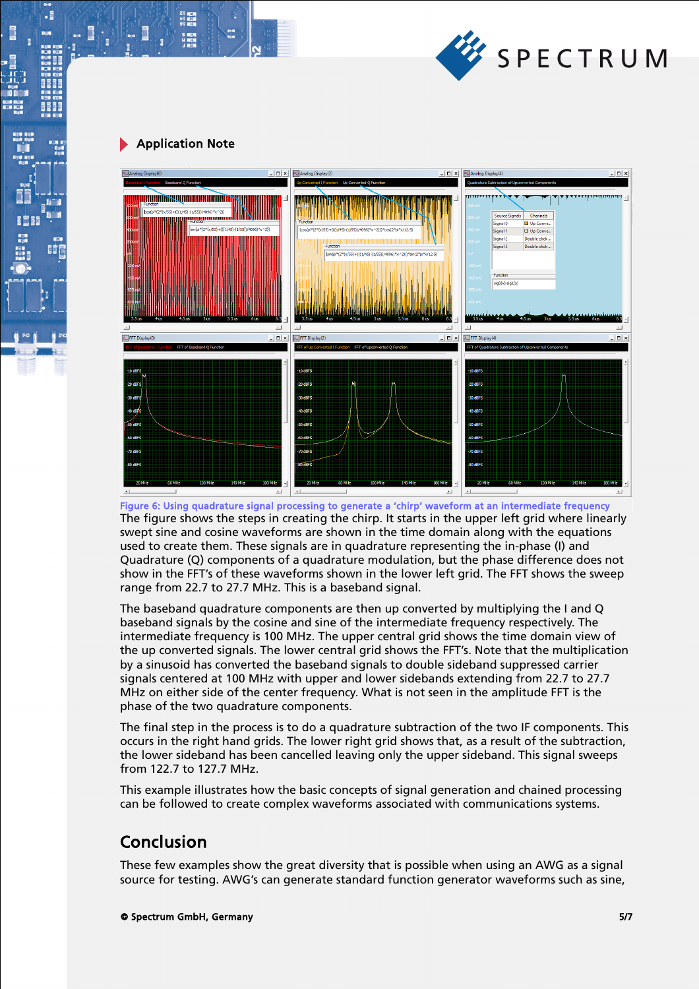

 $\cdot$ 

間違



The figure shows the steps in creating the chirp. It starts in the upper left grid where linearly swept sine and cosine waveforms are shown in the time domain along with the equations used to create them. These signals are in quadrature representing the in-phase (I) and Quadrature (Q) components of a quadrature modulation, but the phase difference does not show in the FFT's of these waveforms shown in the lower left grid. The FFT shows the sweep range from 22.7 to 27.7 MHz. This is a baseband signal. Figure 6: Using quadrature signal processing to generate a 'chirp' waveform at an intermediate frequency

The baseband quadrature components are then up converted by multiplying the I and Q baseband signals by the cosine and sine of the intermediate frequency respectively. The intermediate frequency is 100 MHz. The upper central grid shows the time domain view of the up converted signals. The lower central grid shows the FFT's. Note that the multiplication by a sinusoid has converted the baseband signals to double sideband suppressed carrier signals centered at 100 MHz with upper and lower sidebands extending from 22.7 to 27.7 MHz on either side of the center frequency. What is not seen in the amplitude FFT is the phase of the two quadrature components.

The final step in the process is to do a quadrature subtraction of the two IF components. This occurs in the right hand grids. The lower right grid shows that, as a result of the subtraction, the lower sideband has been cancelled leaving only the upper sideband. This signal sweeps from 122.7 to 127.7 MHz.

This example illustrates how the basic concepts of signal generation and chained processing can be followed to create complex waveforms associated with communications systems.

## Conclusion

These few examples show the great diversity that is possible when using an AWG as a signal source for testing. AWG's can generate standard function generator waveforms such as sine,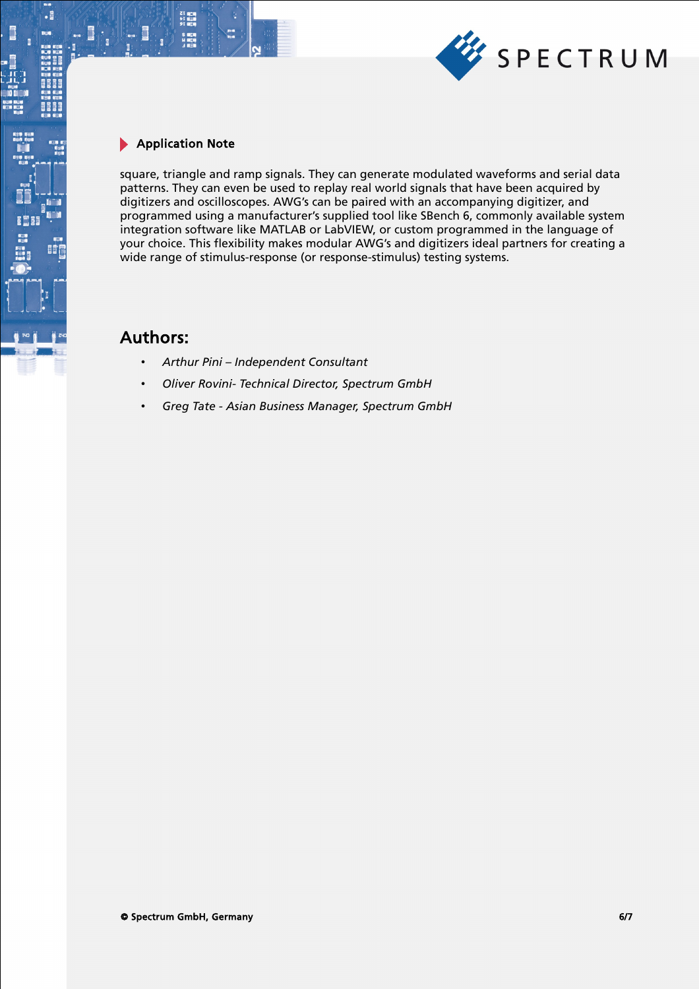

21 mg<br>サービス<br>91 mg

.

間

square, triangle and ramp signals. They can generate modulated waveforms and serial data patterns. They can even be used to replay real world signals that have been acquired by digitizers and oscilloscopes. AWG's can be paired with an accompanying digitizer, and programmed using a manufacturer's supplied tool like SBench 6, commonly available system integration software like MATLAB or LabVIEW, or custom programmed in the language of your choice. This flexibility makes modular AWG's and digitizers ideal partners for creating a wide range of stimulus-response (or response-stimulus) testing systems.

### Authors:

- *Arthur Pini Independent Consultant*
- *Oliver Rovini- Technical Director, Spectrum GmbH*
- *Greg Tate Asian Business Manager, Spectrum GmbH*